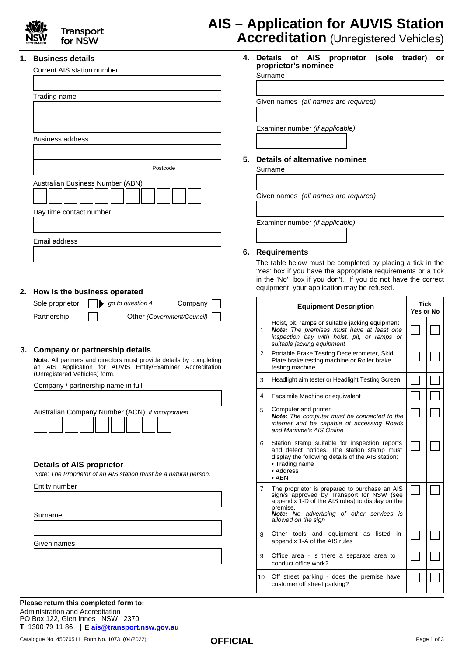| 1. | <b>Business details</b>                                                                                                                                                                                 |  | 4. Details<br>of AIS proprietor<br>(sole<br>trader)<br><b>or</b><br>proprietor's nominee                                                                                                           |                                                                                                                                                                                                                                       |           |  |  |  |  |
|----|---------------------------------------------------------------------------------------------------------------------------------------------------------------------------------------------------------|--|----------------------------------------------------------------------------------------------------------------------------------------------------------------------------------------------------|---------------------------------------------------------------------------------------------------------------------------------------------------------------------------------------------------------------------------------------|-----------|--|--|--|--|
|    | <b>Current AIS station number</b>                                                                                                                                                                       |  |                                                                                                                                                                                                    | Surname                                                                                                                                                                                                                               |           |  |  |  |  |
|    | Trading name                                                                                                                                                                                            |  | Given names (all names are required)<br>Examiner number (if applicable)<br>5. Details of alternative nominee<br>Surname<br>Given names (all names are required)<br>Examiner number (if applicable) |                                                                                                                                                                                                                                       |           |  |  |  |  |
|    | <b>Business address</b>                                                                                                                                                                                 |  |                                                                                                                                                                                                    |                                                                                                                                                                                                                                       |           |  |  |  |  |
|    | Postcode                                                                                                                                                                                                |  |                                                                                                                                                                                                    |                                                                                                                                                                                                                                       |           |  |  |  |  |
|    | Australian Business Number (ABN)                                                                                                                                                                        |  |                                                                                                                                                                                                    |                                                                                                                                                                                                                                       |           |  |  |  |  |
|    | Day time contact number                                                                                                                                                                                 |  |                                                                                                                                                                                                    |                                                                                                                                                                                                                                       |           |  |  |  |  |
|    |                                                                                                                                                                                                         |  |                                                                                                                                                                                                    |                                                                                                                                                                                                                                       |           |  |  |  |  |
|    | Email address                                                                                                                                                                                           |  |                                                                                                                                                                                                    |                                                                                                                                                                                                                                       |           |  |  |  |  |
|    | 6. Requirements<br>The table below must be completed by placing a tick in the                                                                                                                           |  |                                                                                                                                                                                                    |                                                                                                                                                                                                                                       |           |  |  |  |  |
|    | 'Yes' box if you have the appropriate requirements or a tick                                                                                                                                            |  |                                                                                                                                                                                                    |                                                                                                                                                                                                                                       |           |  |  |  |  |
|    | in the 'No' box if you don't. If you do not have the correct<br>equipment, your application may be refused.<br>2. How is the business operated                                                          |  |                                                                                                                                                                                                    |                                                                                                                                                                                                                                       |           |  |  |  |  |
|    | Sole proprietor<br>Company<br>go to question 4                                                                                                                                                          |  |                                                                                                                                                                                                    | <b>Equipment Description</b>                                                                                                                                                                                                          | Tick      |  |  |  |  |
|    | Partnership<br>Other (Government/Council)                                                                                                                                                               |  |                                                                                                                                                                                                    | Hoist, pit, ramps or suitable jacking equipment                                                                                                                                                                                       | Yes or No |  |  |  |  |
|    |                                                                                                                                                                                                         |  | 1                                                                                                                                                                                                  | <b>Note:</b> The premises must have at least one<br>inspection bay with hoist, pit, or ramps or<br>suitable jacking equipment                                                                                                         |           |  |  |  |  |
|    | 3. Company or partnership details<br>Note: All partners and directors must provide details by completing<br>an AIS Application for AUVIS Entity/Examiner Accreditation<br>(Unregistered Vehicles) form. |  | $\overline{2}$                                                                                                                                                                                     | Portable Brake Testing Decelerometer, Skid<br>Plate brake testing machine or Roller brake<br>testing machine                                                                                                                          |           |  |  |  |  |
|    | Company / partnership name in full                                                                                                                                                                      |  | 3                                                                                                                                                                                                  | Headlight aim tester or Headlight Testing Screen                                                                                                                                                                                      |           |  |  |  |  |
|    |                                                                                                                                                                                                         |  | 4                                                                                                                                                                                                  | Facsimile Machine or equivalent                                                                                                                                                                                                       |           |  |  |  |  |
|    | Australian Company Number (ACN) if incorporated                                                                                                                                                         |  | 5                                                                                                                                                                                                  | Computer and printer<br><b>Note:</b> The computer must be connected to the<br>internet and be capable of accessing Roads<br>and Maritime's AIS Online                                                                                 |           |  |  |  |  |
|    | <b>Details of AIS proprietor</b><br>Note: The Proprietor of an AIS station must be a natural person.                                                                                                    |  | 6                                                                                                                                                                                                  | Station stamp suitable for inspection reports<br>and defect notices. The station stamp must<br>display the following details of the AIS station:<br>• Trading name<br>• Address<br>$\bullet$ ABN                                      |           |  |  |  |  |
|    | Entity number<br>Surname                                                                                                                                                                                |  | $\overline{7}$                                                                                                                                                                                     | The proprietor is prepared to purchase an AIS<br>sign/s approved by Transport for NSW (see<br>appendix 1-D of the AIS rules) to display on the<br>premise.<br><b>Note:</b> No advertising of other services is<br>allowed on the sign |           |  |  |  |  |
|    | Given names                                                                                                                                                                                             |  | 8                                                                                                                                                                                                  | Other tools and equipment as listed in<br>appendix 1-A of the AIS rules                                                                                                                                                               |           |  |  |  |  |
|    |                                                                                                                                                                                                         |  | 9                                                                                                                                                                                                  | Office area - is there a separate area to<br>conduct office work?                                                                                                                                                                     |           |  |  |  |  |
|    |                                                                                                                                                                                                         |  |                                                                                                                                                                                                    |                                                                                                                                                                                                                                       |           |  |  |  |  |

**Please return this completed form to:** Administration and Accreditation PO Box 122, Glen Innes NSW 2370 **T** 1300 79 11 86 **E [ais@transport.nsw.gov.au](mailto:ais@transport.nsw.gov.au)**

Catalogue No. 45070511 Form No. 1073 (04/2022) <br> **CEFICIAI** Page 1 of 3

customer off street parking?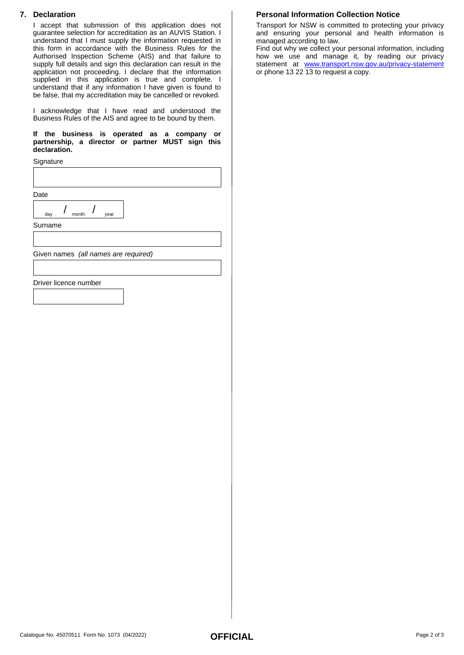## **7. Declaration**

I accept that submission of this application does not guarantee selection for accreditation as an AUVIS Station. I understand that I must supply the information requested in this form in accordance with the Business Rules for the Authorised Inspection Scheme (AIS) and that failure to supply full details and sign this declaration can result in the application not proceeding. I declare that the information supplied in this application is true and complete. I understand that if any information I have given is found to be false, that my accreditation may be cancelled or revoked.

I acknowledge that I have read and understood the Business Rules of the AIS and agree to be bound by them.

**If the business is operated as a company or partnership, a director or partner MUST sign this declaration.**

**Signature** 

Date

| dav | month | aar |  |
|-----|-------|-----|--|
|     |       |     |  |

Surname

Given names *(all names are required)*

#### Driver licence number

#### **Personal Information Collection Notice**

Transport for NSW is committed to protecting your privacy and ensuring your personal and health information is managed according to law.

Find out why we collect your personal information, including how we use and manage it, by reading our privacy statement at <www.transport.nsw.gov.au/privacy-statement> or phone 13 22 13 to request a copy.